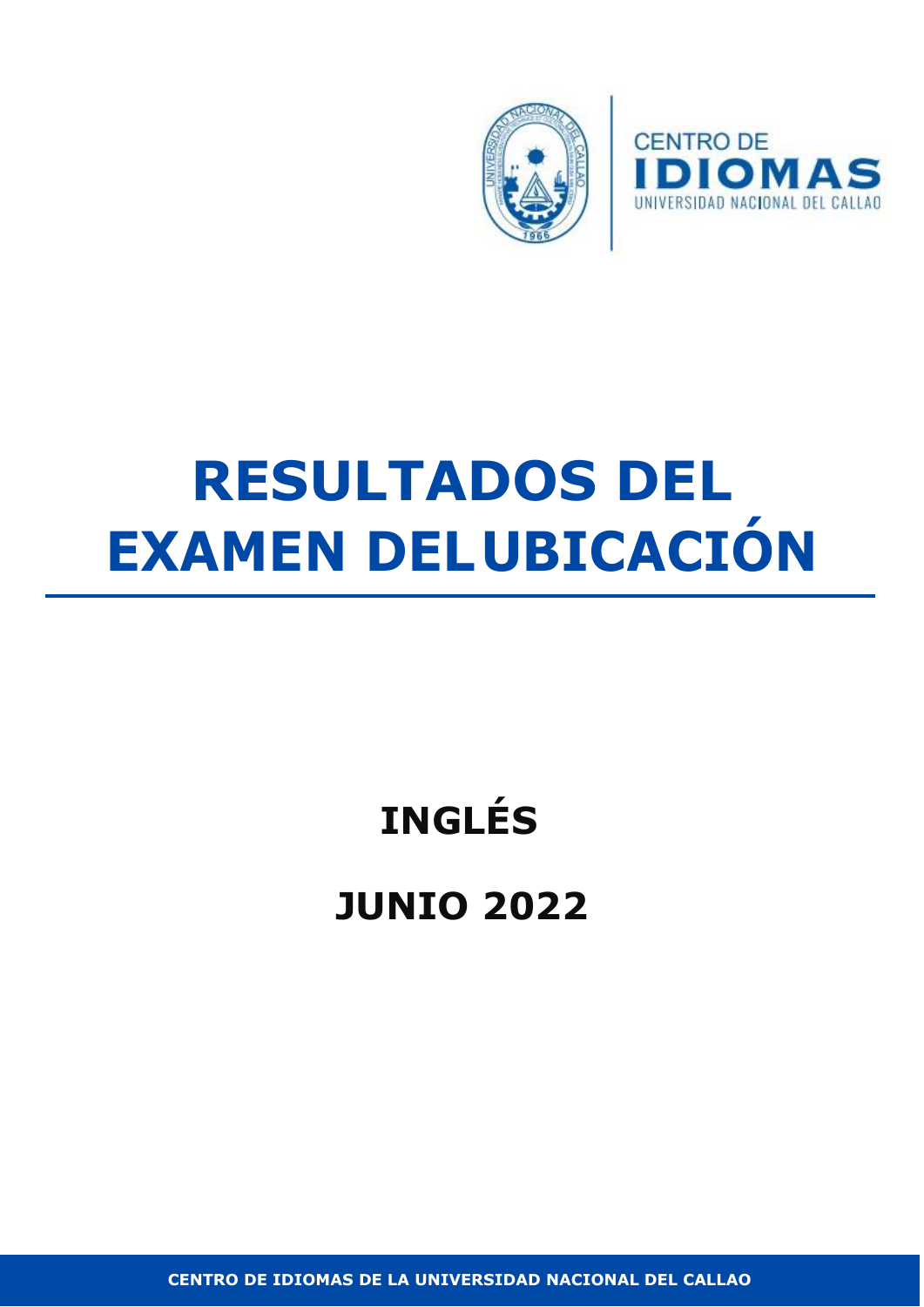



# **RESULTADOS DEL EXAMEN DELUBICACIÓN**

# **INGLÉS JUNIO 2022**

**CENTRO DE IDIOMAS DE LA UNIVERSIDAD NACIONAL DEL CALLAO**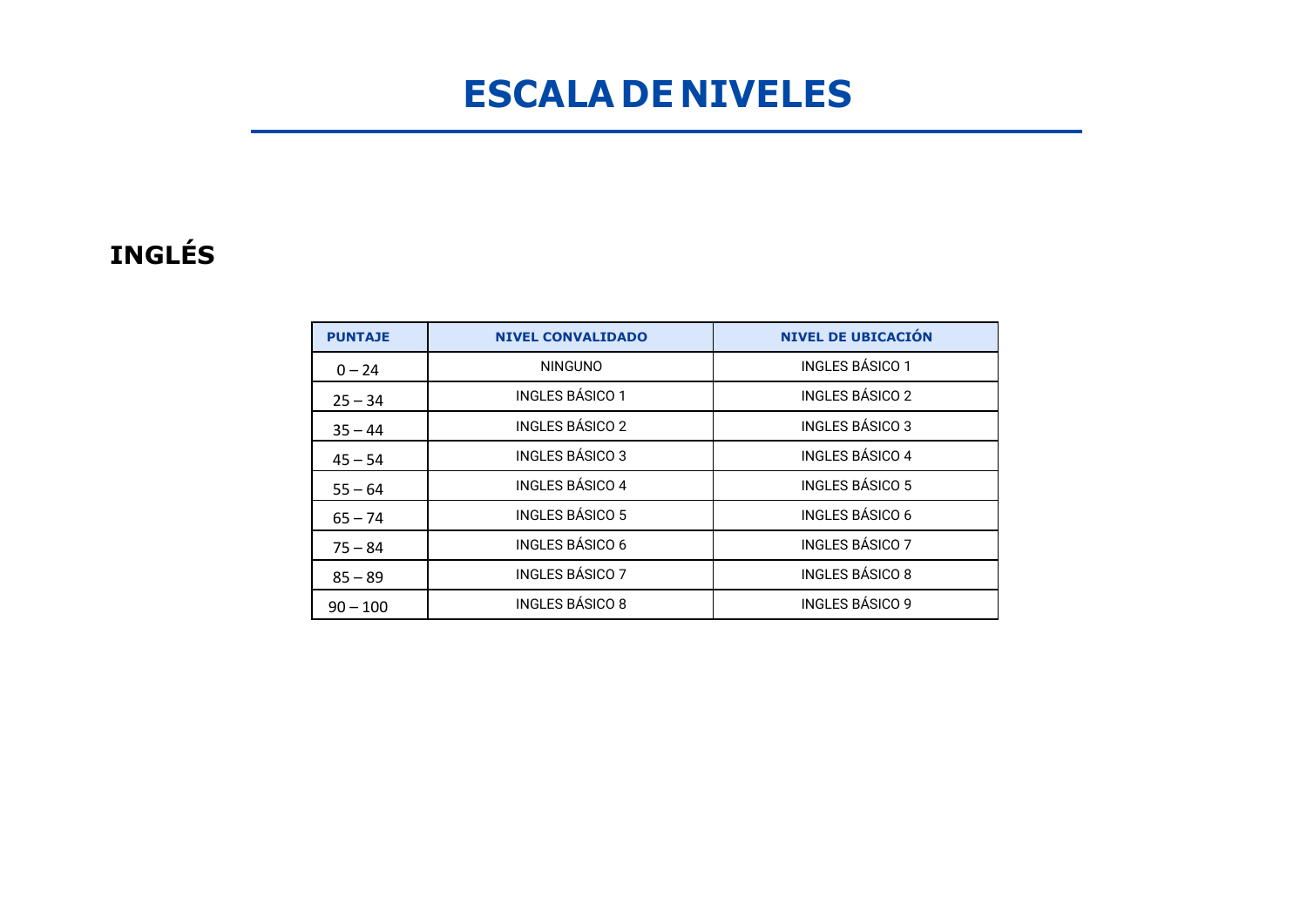### **ESCALA DE NIVELES**

#### **INGLÉS**

| <b>PUNTAJE</b> | <b>NIVEL CONVALIDADO</b> | <b>NIVEL DE UBICACIÓN</b> |
|----------------|--------------------------|---------------------------|
| $0 - 24$       | <b>NINGUNO</b>           | <b>INGLES BÁSICO 1</b>    |
| $25 - 34$      | <b>INGLES BÁSICO 1</b>   | <b>INGLES BÁSICO 2</b>    |
| $35 - 44$      | <b>INGLES BÁSICO 2</b>   | <b>INGLES BÁSICO 3</b>    |
| $45 - 54$      | <b>INGLES BÁSICO 3</b>   | <b>INGLES BÁSICO 4</b>    |
| $55 - 64$      | <b>INGLES BÁSICO 4</b>   | <b>INGLES BÁSICO 5</b>    |
| $65 - 74$      | <b>INGLES BÁSICO 5</b>   | <b>INGLES BÁSICO 6</b>    |
| $75 - 84$      | <b>INGLES BÁSICO 6</b>   | <b>INGLES BÁSICO 7</b>    |
| $85 - 89$      | <b>INGLES BÁSICO 7</b>   | <b>INGLES BÁSICO 8</b>    |
| $90 - 100$     | <b>INGLES BÁSICO 8</b>   | <b>INGLES BÁSICO 9</b>    |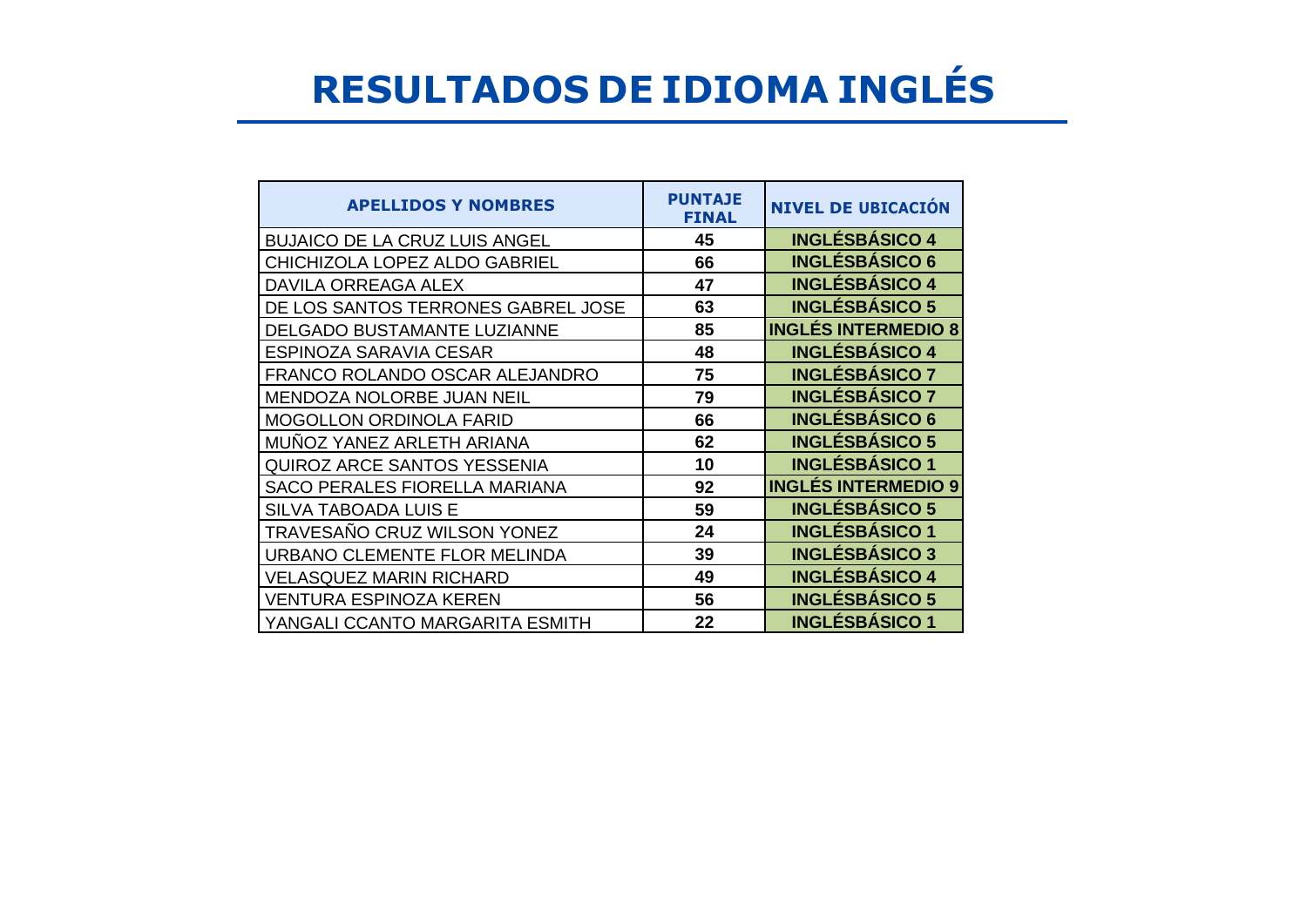## **RESULTADOS DE IDIOMA INGLÉS**

| <b>APELLIDOS Y NOMBRES</b>           | <b>PUNTAJE</b><br><b>FINAL</b> | <b>NIVEL DE UBICACIÓN</b>  |
|--------------------------------------|--------------------------------|----------------------------|
| <b>BUJAICO DE LA CRUZ LUIS ANGEL</b> | 45                             | <b>INGLÉSBÁSICO 4</b>      |
| CHICHIZOLA LOPEZ ALDO GABRIEL        | 66                             | <b>INGLÉSBÁSICO 6</b>      |
| DAVILA ORREAGA ALEX                  | 47                             | <b>INGLÉSBÁSICO 4</b>      |
| DE LOS SANTOS TERRONES GABREL JOSE   | 63                             | <b>INGLÉSBÁSICO 5</b>      |
| DELGADO BUSTAMANTE LUZIANNE          | 85                             | <b>INGLÉS INTERMEDIO 8</b> |
| ESPINOZA SARAVIA CESAR               | 48                             | <b>INGLÉSBÁSICO 4</b>      |
| FRANCO ROLANDO OSCAR ALEJANDRO       | 75                             | <b>INGLÉSBÁSICO 7</b>      |
| MENDOZA NOLORBE JUAN NEIL            | 79                             | <b>INGLÉSBÁSICO 7</b>      |
| <b>MOGOLLON ORDINOLA FARID</b>       | 66                             | <b>INGLÉSBÁSICO 6</b>      |
| MUNOZ YANEZ ARLETH ARIANA            | 62                             | <b>INGLÉSBÁSICO 5</b>      |
| <b>QUIROZ ARCE SANTOS YESSENIA</b>   | 10                             | <b>INGLÉSBÁSICO 1</b>      |
| <b>SACO PERALES FIORELLA MARIANA</b> | 92                             | <b>INGLÉS INTERMEDIO 9</b> |
| <b>SILVA TABOADA LUIS E</b>          | 59                             | <b>INGLÉSBÁSICO 5</b>      |
| TRAVESAÑO CRUZ WILSON YONEZ          | 24                             | <b>INGLÉSBÁSICO 1</b>      |
| URBANO CLEMENTE FLOR MELINDA         | 39                             | <b>INGLÉSBÁSICO 3</b>      |
| <b>VELASQUEZ MARIN RICHARD</b>       | 49                             | <b>INGLÉSBÁSICO 4</b>      |
| <b>VENTURA ESPINOZA KEREN</b>        | 56                             | <b>INGLÉSBÁSICO 5</b>      |
| YANGALI CCANTO MARGARITA ESMITH      | 22                             | <b>INGLÉSBASICO 1</b>      |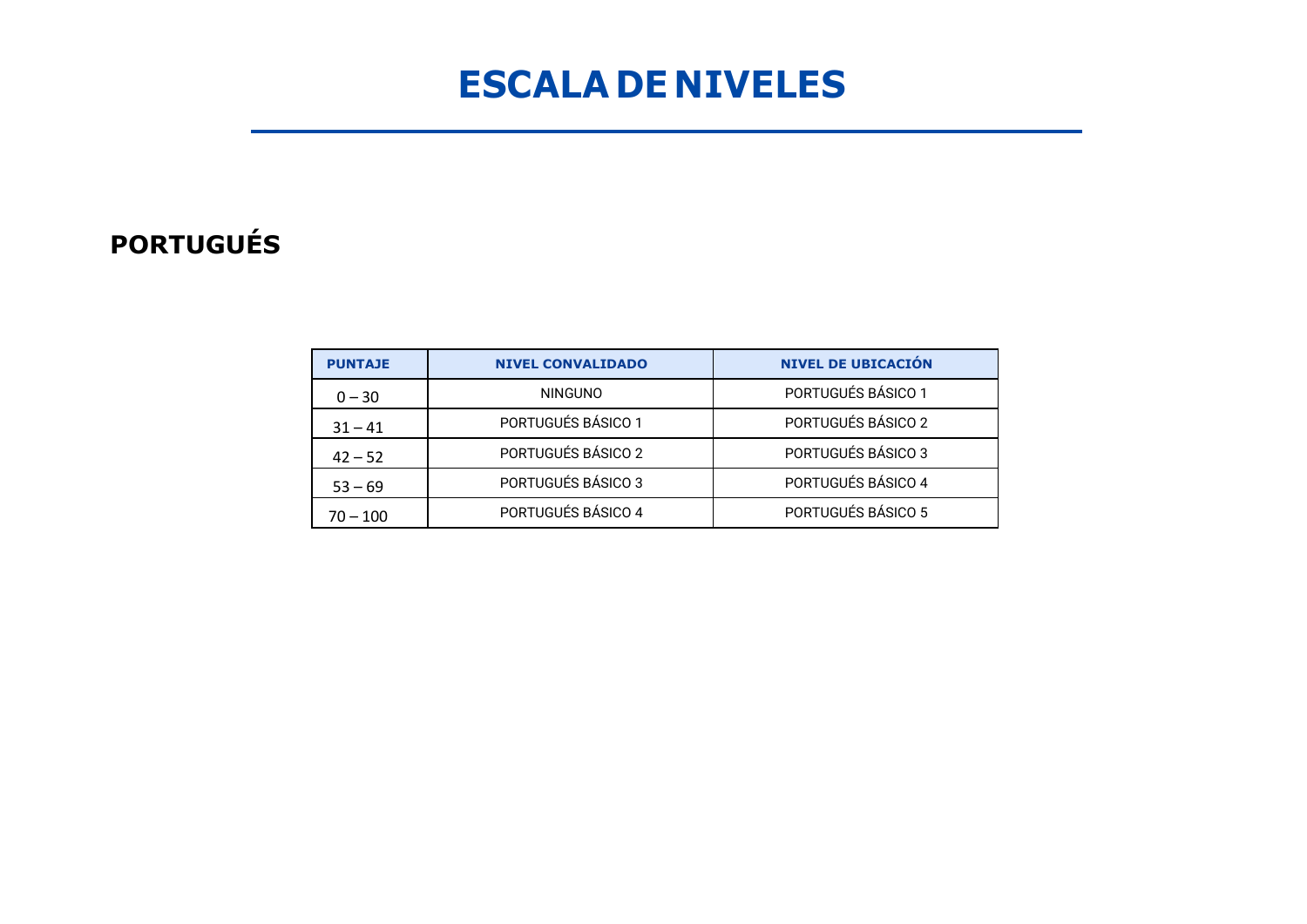### **ESCALA DE NIVELES**

#### **PORTUGUÉS**

| <b>PUNTAJE</b> | <b>NIVEL CONVALIDADO</b> | <b>NIVEL DE UBICACIÓN</b> |  |  |
|----------------|--------------------------|---------------------------|--|--|
| $0 - 30$       | <b>NINGUNO</b>           | PORTUGUÉS BÁSICO 1        |  |  |
| $31 - 41$      | PORTUGUÉS BÁSICO 1       | PORTUGUÉS BÁSICO 2        |  |  |
| $42 - 52$      | PORTUGUÉS BÁSICO 2       | PORTUGUÉS BÁSICO 3        |  |  |
| $53 - 69$      | PORTUGUÉS BÁSICO 3       | PORTUGUÉS BÁSICO 4        |  |  |
| $70 - 100$     | PORTUGUÉS BÁSICO 4       | PORTUGUÉS BÁSICO 5        |  |  |